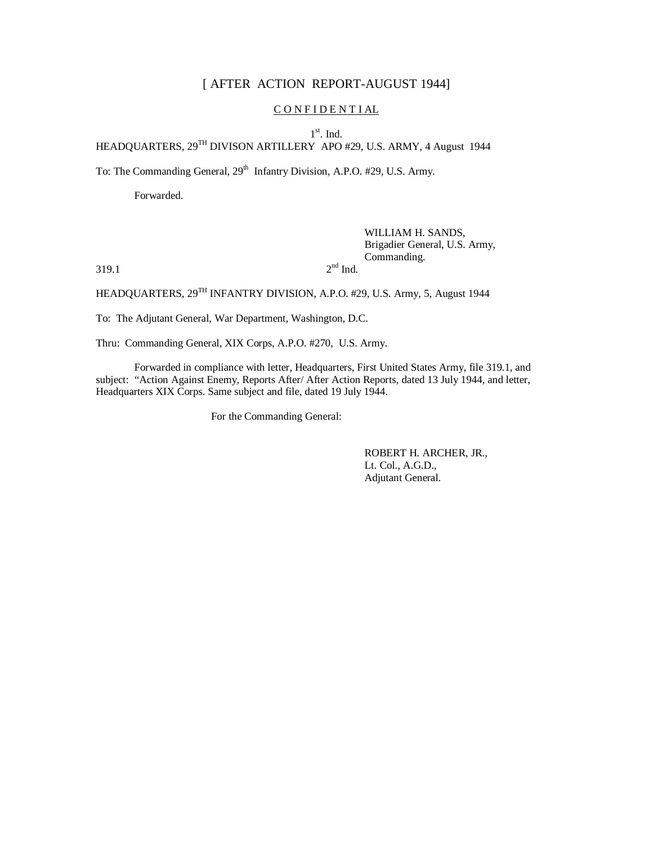# [ AFTER ACTION REPORT-AUGUST 1944]

### CONFIDENTIAL

1<sup>st</sup>. Ind.

HEADQUARTERS, 29TH DIVISON ARTILLERY APO #29, U.S. ARMY, 4 August 1944

To: The Commanding General, 29<sup>th</sup> Infantry Division, A.P.O. #29, U.S. Army.

Forwarded.

## WILLIAM H. SANDS, Brigadier General, U.S. Army, Commanding.

 $319.1$  2

 $2<sup>nd</sup>$  Ind.

HEADQUARTERS,  $29^{TH}$  INFANTRY DIVISION, A.P.O. #29, U.S. Army, 5, August 1944

To: The Adjutant General, War Department, Washington, D.C.

Thru: Commanding General, XIX Corps, A.P.O. #270, U.S. Army.

Forwarded in compliance with letter, Headquarters, First United States Army, file 319.1, and subject: "Action Against Enemy, Reports After/ After Action Reports, dated 13 July 1944, and letter, Headquarters XIX Corps. Same subject and file, dated 19 July 1944.

For the Commanding General:

ROBERT H. ARCHER, JR., Lt. Col., A.G.D., Adjutant General.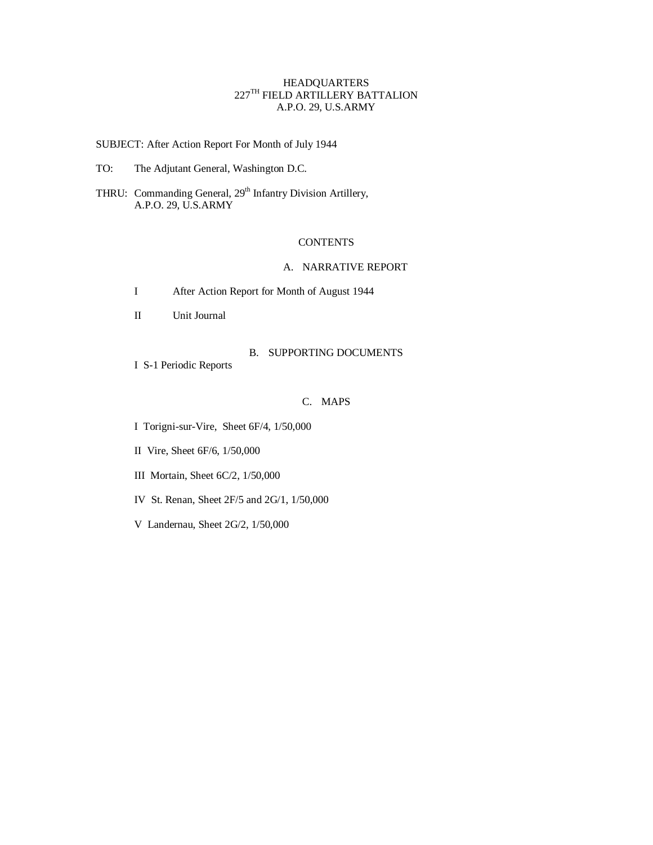### HEADQUARTERS  $227^{\text{\tiny{TH}}}$  FIELD ARTILLERY BATTALION A.P.O. 29, U.S.ARMY

SUBJECT: After Action Report For Month of July 1944

TO: The Adjutant General, Washington D.C.

THRU: Commanding General, 29<sup>th</sup> Infantry Division Artillery, A.P.O. 29, U.S.ARMY

#### **CONTENTS**

### A. NARRATIVE REPORT

- I After Action Report for Month of August 1944
- II Unit Journal

### B. SUPPORTING DOCUMENTS

I S-1 Periodic Reports

#### C. MAPS

I Torigni-sur-Vire, Sheet 6F/4, 1/50,000

II Vire, Sheet 6F/6, 1/50,000

III Mortain, Sheet 6C/2, 1/50,000

IV St. Renan, Sheet 2F/5 and 2G/1, 1/50,000

V Landernau, Sheet 2G/2, 1/50,000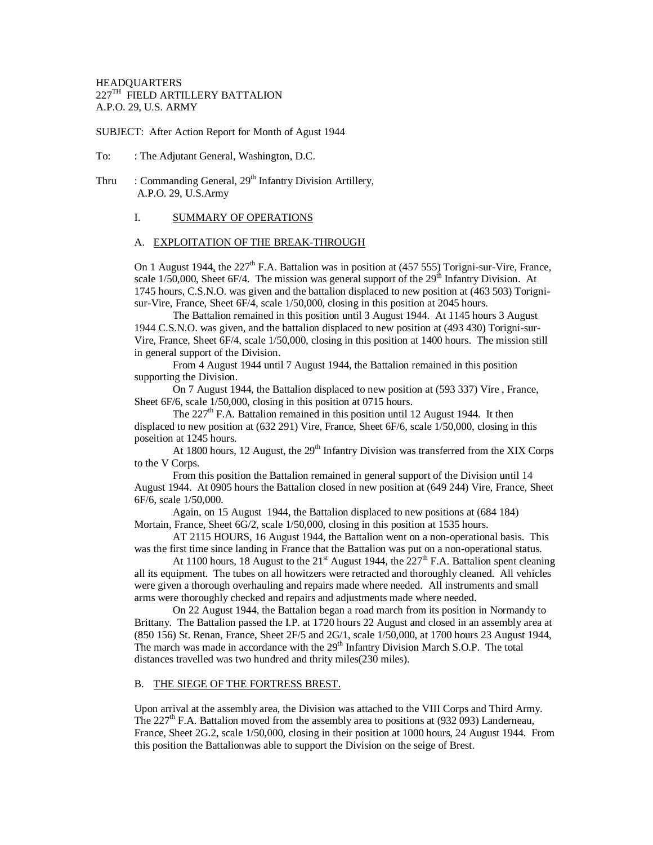### HEADQUARTERS  $227^{\text{TH}}$  FIELD ARTILLERY BATTALION A.P.O. 29, U.S. ARMY

SUBJECT: After Action Report for Month of Agust 1944

- To: : The Adjutant General, Washington, D.C.
- Thru : Commanding General,  $29<sup>th</sup>$  Infantry Division Artillery, A.P.O. 29, U.S.Army

### I. SUMMARY OF OPERATIONS

#### A. EXPLOITATION OF THE BREAK-THROUGH

On 1 August 1944, the  $227<sup>th</sup>$  F.A. Battalion was in position at (457 555) Torigni-sur-Vire, France, scale  $1/50,000$ , Sheet 6F/4. The mission was general support of the 29<sup>th</sup> Infantry Division. At 1745 hours, C.S.N.O. was given and the battalion displaced to new position at (463 503) Torignisur-Vire, France, Sheet 6F/4, scale 1/50,000, closing in this position at 2045 hours.

The Battalion remained in this position until 3 August 1944. At 1145 hours 3 August 1944 C.S.N.O. was given, and the battalion displaced to new position at (493 430) Torigni-sur-Vire, France, Sheet 6F/4, scale 1/50,000, closing in this position at 1400 hours. The mission still in general support of the Division.

From 4 August 1944 until 7 August 1944, the Battalion remained in this position supporting the Division.

On 7 August 1944, the Battalion displaced to new position at (593 337) Vire , France, Sheet 6F/6, scale 1/50,000, closing in this position at 0715 hours.

The  $227<sup>th</sup>$  F.A. Battalion remained in this position until 12 August 1944. It then displaced to new position at (632 291) Vire, France, Sheet 6F/6, scale 1/50,000, closing in this poseition at 1245 hours.

At 1800 hours, 12 August, the 29<sup>th</sup> Infantry Division was transferred from the XIX Corps to the V Corps.

From this position the Battalion remained in general support of the Division until 14 August 1944. At 0905 hours the Battalion closed in new position at (649 244) Vire, France, Sheet 6F/6, scale 1/50,000.

Again, on 15 August 1944, the Battalion displaced to new positions at (684 184) Mortain, France, Sheet 6G/2, scale 1/50,000, closing in this position at 1535 hours.

AT 2115 HOURS, 16 August 1944, the Battalion went on a non-operational basis. This was the first time since landing in France that the Battalion was put on a non-operational status.

At 1100 hours, 18 August to the  $21<sup>st</sup>$  August 1944, the  $227<sup>th</sup>$  F.A. Battalion spent cleaning all its equipment. The tubes on all howitzers were retracted and thoroughly cleaned. All vehicles were given a thorough overhauling and repairs made where needed. All instruments and small arms were thoroughly checked and repairs and adjustments made where needed.

On 22 August 1944, the Battalion began a road march from its position in Normandy to Brittany. The Battalion passed the I.P. at 1720 hours 22 August and closed in an assembly area at (850 156) St. Renan, France, Sheet 2F/5 and 2G/1, scale 1/50,000, at 1700 hours 23 August 1944, The march was made in accordance with the  $29<sup>th</sup>$  Infantry Division March S.O.P. The total distances travelled was two hundred and thrity miles(230 miles).

#### B. THE SIEGE OF THE FORTRESS BREST.

Upon arrival at the assembly area, the Division was attached to the VIII Corps and Third Army. The  $227<sup>th</sup>$  F.A. Battalion moved from the assembly area to positions at (932 093) Landerneau, France, Sheet 2G.2, scale 1/50,000, closing in their position at 1000 hours, 24 August 1944. From this position the Battalionwas able to support the Division on the seige of Brest.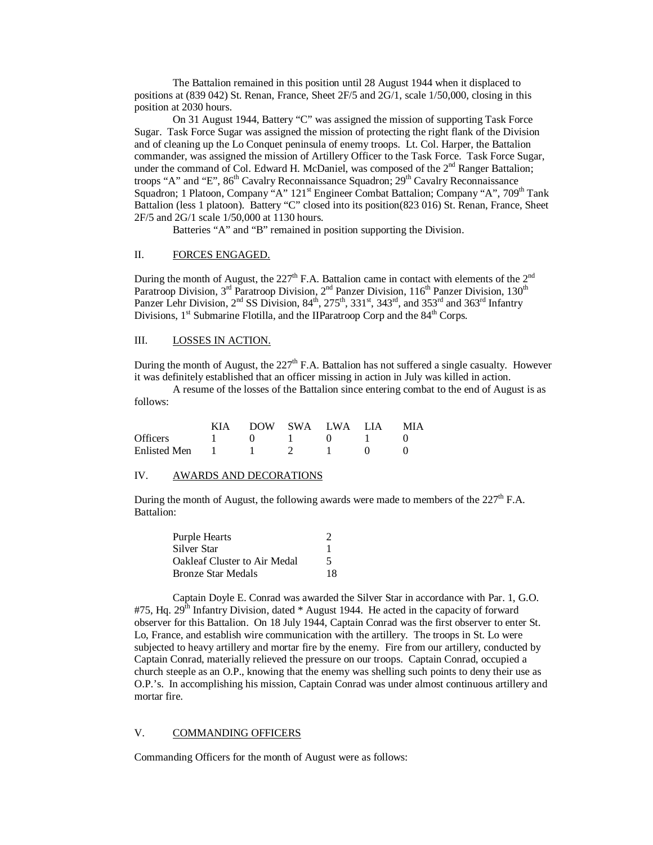The Battalion remained in this position until 28 August 1944 when it displaced to positions at (839 042) St. Renan, France, Sheet 2F/5 and 2G/1, scale 1/50,000, closing in this position at 2030 hours.

On 31 August 1944, Battery "C" was assigned the mission of supporting Task Force Sugar. Task Force Sugar was assigned the mission of protecting the right flank of the Division and of cleaning up the Lo Conquet peninsula of enemy troops. Lt. Col. Harper, the Battalion commander, was assigned the mission of Artillery Officer to the Task Force. Task Force Sugar, under the command of Col. Edward H. McDaniel, was composed of the 2<sup>nd</sup> Ranger Battalion; troops "A" and "E", 86<sup>th</sup> Cavalry Reconnaissance Squadron; 29<sup>th</sup> Cavalry Reconnaissance Squadron; 1 Platoon, Company "A" 121<sup>st</sup> Engineer Combat Battalion; Company "A", 709<sup>th</sup> Tank Battalion (less 1 platoon). Battery "C" closed into its position(823 016) St. Renan, France, Sheet 2F/5 and 2G/1 scale 1/50,000 at 1130 hours.

Batteries "A" and "B" remained in position supporting the Division.

#### II. FORCES ENGAGED.

During the month of August, the  $227<sup>th</sup>$  F.A. Battalion came in contact with elements of the  $2<sup>nd</sup>$ Paratroop Division, 3<sup>rd</sup> Paratroop Division, 2<sup>nd</sup> Panzer Division, 116<sup>th</sup> Panzer Division, 130<sup>th</sup> Panzer Lehr Division, 2<sup>nd</sup> SS Division, 84<sup>th</sup>, 275<sup>th</sup>, 331<sup>st</sup>, 343<sup>rd</sup>, and 353<sup>rd</sup> and 363<sup>rd</sup> Infantry Divisions,  $1<sup>st</sup>$  Submarine Flotilla, and the IIParatroop Corp and the  $84<sup>th</sup>$  Corps.

### III. LOSSES IN ACTION.

During the month of August, the  $227<sup>th</sup>$  F.A. Battalion has not suffered a single casualty. However it was definitely established that an officer missing in action in July was killed in action.

A resume of the losses of the Battalion since entering combat to the end of August is as follows:

|                 | <b>KIA</b> |  | DOW SWA LWA LIA | MIA |
|-----------------|------------|--|-----------------|-----|
| <b>Officers</b> |            |  |                 |     |
| Enlisted Men    |            |  |                 |     |

## IV. AWARDS AND DECORATIONS

During the month of August, the following awards were made to members of the  $227<sup>th</sup>$  F.A. Battalion:

| <b>Purple Hearts</b>                | $\mathcal{D}$ |
|-------------------------------------|---------------|
| Silver Star                         |               |
| <b>Oakleaf Cluster to Air Medal</b> | 5             |
| <b>Bronze Star Medals</b>           | 18            |

Captain Doyle E. Conrad was awarded the Silver Star in accordance with Par. 1, G.O.  $#75$ , Hq. 29<sup>th</sup> Infantry Division, dated \* August 1944. He acted in the capacity of forward observer for this Battalion. On 18 July 1944, Captain Conrad was the first observer to enter St. Lo, France, and establish wire communication with the artillery. The troops in St. Lo were subjected to heavy artillery and mortar fire by the enemy. Fire from our artillery, conducted by Captain Conrad, materially relieved the pressure on our troops. Captain Conrad, occupied a church steeple as an O.P., knowing that the enemy was shelling such points to deny their use as O.P.'s. In accomplishing his mission, Captain Conrad was under almost continuous artillery and mortar fire.

#### V. COMMANDING OFFICERS

Commanding Officers for the month of August were as follows: